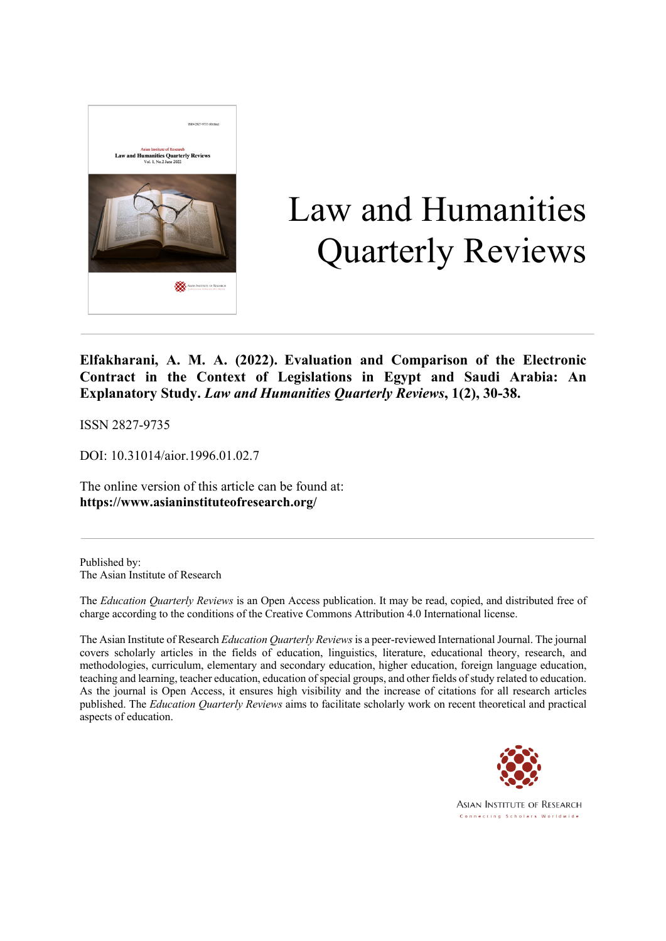

# Law and Humanities Quarterly Reviews

**Elfakharani, A. M. A. (2022). Evaluation and Comparison of the Electronic Contract in the Context of Legislations in Egypt and Saudi Arabia: An Explanatory Study.** *Law and Humanities Quarterly Reviews***, 1(2), 30-38.**

ISSN 2827-9735

DOI: 10.31014/aior.1996.01.02.7

The online version of this article can be found at: **https://www.asianinstituteofresearch.org/**

Published by: The Asian Institute of Research

The *Education Quarterly Reviews* is an Open Access publication. It may be read, copied, and distributed free of charge according to the conditions of the Creative Commons Attribution 4.0 International license.

The Asian Institute of Research *Education Quarterly Reviews* is a peer-reviewed International Journal. The journal covers scholarly articles in the fields of education, linguistics, literature, educational theory, research, and methodologies, curriculum, elementary and secondary education, higher education, foreign language education, teaching and learning, teacher education, education of special groups, and other fields of study related to education. As the journal is Open Access, it ensures high visibility and the increase of citations for all research articles published. The *Education Quarterly Reviews* aims to facilitate scholarly work on recent theoretical and practical aspects of education.



**ASIAN INSTITUTE OF RESEARCH** Connecting Scholars Worldwide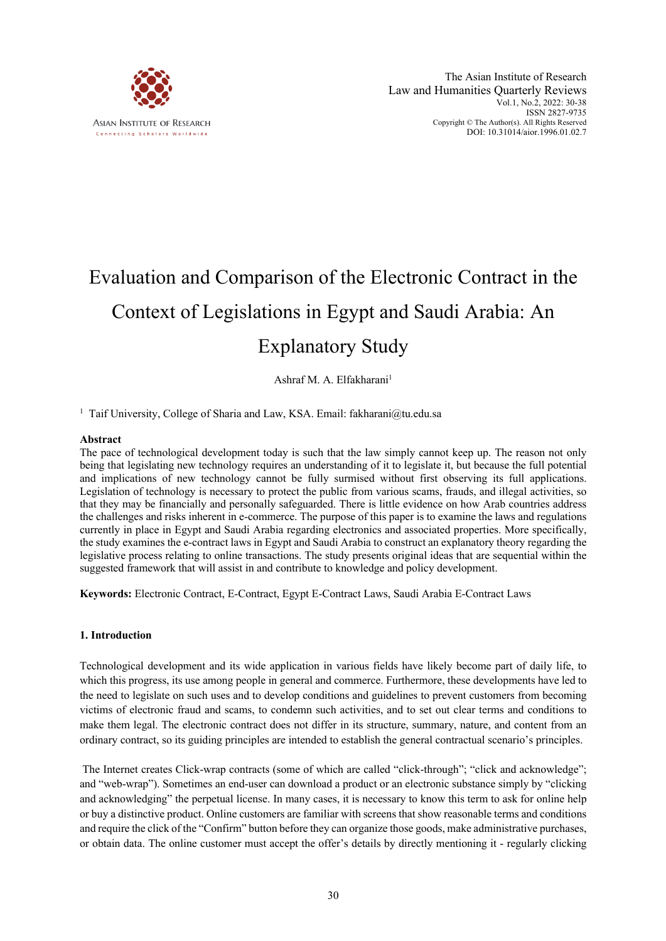

# Evaluation and Comparison of the Electronic Contract in the Context of Legislations in Egypt and Saudi Arabia: An Explanatory Study

Ashraf M. A. Elfakharani<sup>1</sup>

<sup>1</sup> Taif University, College of Sharia and Law, KSA. Email: fakharani@tu.edu.sa

#### **Abstract**

The pace of technological development today is such that the law simply cannot keep up. The reason not only being that legislating new technology requires an understanding of it to legislate it, but because the full potential and implications of new technology cannot be fully surmised without first observing its full applications. Legislation of technology is necessary to protect the public from various scams, frauds, and illegal activities, so that they may be financially and personally safeguarded. There is little evidence on how Arab countries address the challenges and risks inherent in e-commerce. The purpose of this paper is to examine the laws and regulations currently in place in Egypt and Saudi Arabia regarding electronics and associated properties. More specifically, the study examines the e-contract laws in Egypt and Saudi Arabia to construct an explanatory theory regarding the legislative process relating to online transactions. The study presents original ideas that are sequential within the suggested framework that will assist in and contribute to knowledge and policy development.

**Keywords:** Electronic Contract, E-Contract, Egypt E-Contract Laws, Saudi Arabia E-Contract Laws

#### **1. Introduction**

Technological development and its wide application in various fields have likely become part of daily life, to which this progress, its use among people in general and commerce. Furthermore, these developments have led to the need to legislate on such uses and to develop conditions and guidelines to prevent customers from becoming victims of electronic fraud and scams, to condemn such activities, and to set out clear terms and conditions to make them legal. The electronic contract does not differ in its structure, summary, nature, and content from an ordinary contract, so its guiding principles are intended to establish the general contractual scenario's principles.

The Internet creates Click-wrap contracts (some of which are called "click-through"; "click and acknowledge"; and "web-wrap"). Sometimes an end-user can download a product or an electronic substance simply by "clicking and acknowledging" the perpetual license. In many cases, it is necessary to know this term to ask for online help or buy a distinctive product. Online customers are familiar with screens that show reasonable terms and conditions and require the click of the "Confirm" button before they can organize those goods, make administrative purchases, or obtain data. The online customer must accept the offer's details by directly mentioning it - regularly clicking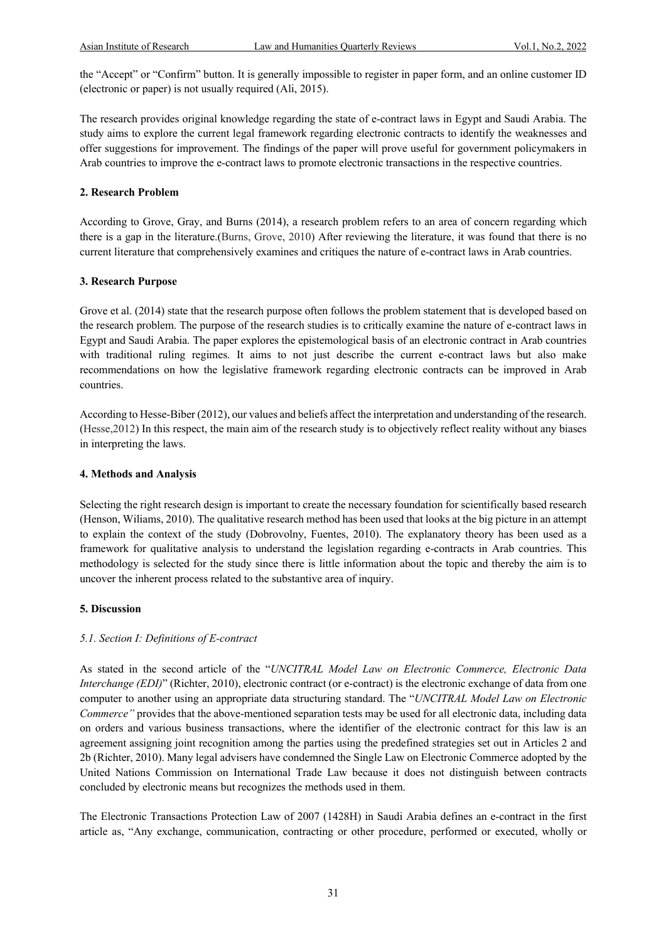the "Accept" or "Confirm" button. It is generally impossible to register in paper form, and an online customer ID (electronic or paper) is not usually required (Ali, 2015).

The research provides original knowledge regarding the state of e-contract laws in Egypt and Saudi Arabia. The study aims to explore the current legal framework regarding electronic contracts to identify the weaknesses and offer suggestions for improvement. The findings of the paper will prove useful for government policymakers in Arab countries to improve the e-contract laws to promote electronic transactions in the respective countries.

#### **2. Research Problem**

According to Grove, Gray, and Burns (2014), a research problem refers to an area of concern regarding which there is a gap in the literature.(Burns, Grove, 2010) After reviewing the literature, it was found that there is no current literature that comprehensively examines and critiques the nature of e-contract laws in Arab countries.

#### **3. Research Purpose**

Grove et al. (2014) state that the research purpose often follows the problem statement that is developed based on the research problem. The purpose of the research studies is to critically examine the nature of e-contract laws in Egypt and Saudi Arabia. The paper explores the epistemological basis of an electronic contract in Arab countries with traditional ruling regimes. It aims to not just describe the current e-contract laws but also make recommendations on how the legislative framework regarding electronic contracts can be improved in Arab countries.

According to Hesse-Biber (2012), our values and beliefs affect the interpretation and understanding of the research. (Hesse,2012) In this respect, the main aim of the research study is to objectively reflect reality without any biases in interpreting the laws.

#### **4. Methods and Analysis**

Selecting the right research design is important to create the necessary foundation for scientifically based research (Henson, Wiliams, 2010). The qualitative research method has been used that looks at the big picture in an attempt to explain the context of the study (Dobrovolny, Fuentes, 2010). The explanatory theory has been used as a framework for qualitative analysis to understand the legislation regarding e-contracts in Arab countries. This methodology is selected for the study since there is little information about the topic and thereby the aim is to uncover the inherent process related to the substantive area of inquiry.

#### **5. Discussion**

# *5.1. Section I: Definitions of E-contract*

As stated in the second article of the "*UNCITRAL Model Law on Electronic Commerce, Electronic Data Interchange (EDI)*" (Richter, 2010), electronic contract (or e-contract) is the electronic exchange of data from one computer to another using an appropriate data structuring standard. The "*UNCITRAL Model Law on Electronic Commerce*" provides that the above-mentioned separation tests may be used for all electronic data, including data on orders and various business transactions, where the identifier of the electronic contract for this law is an agreement assigning joint recognition among the parties using the predefined strategies set out in Articles 2 and 2b (Richter, 2010). Many legal advisers have condemned the Single Law on Electronic Commerce adopted by the United Nations Commission on International Trade Law because it does not distinguish between contracts concluded by electronic means but recognizes the methods used in them.

The Electronic Transactions Protection Law of 2007 (1428H) in Saudi Arabia defines an e-contract in the first article as, "Any exchange, communication, contracting or other procedure, performed or executed, wholly or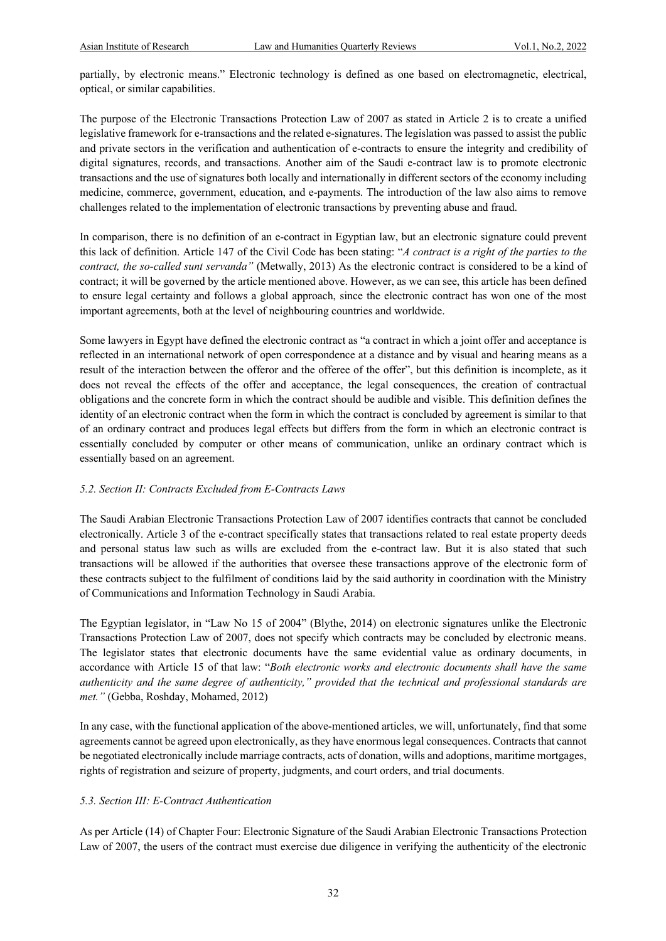partially, by electronic means." Electronic technology is defined as one based on electromagnetic, electrical, optical, or similar capabilities.

The purpose of the Electronic Transactions Protection Law of 2007 as stated in Article 2 is to create a unified legislative framework for e-transactions and the related e-signatures. The legislation was passed to assist the public and private sectors in the verification and authentication of e-contracts to ensure the integrity and credibility of digital signatures, records, and transactions. Another aim of the Saudi e-contract law is to promote electronic transactions and the use of signatures both locally and internationally in different sectors of the economy including medicine, commerce, government, education, and e-payments. The introduction of the law also aims to remove challenges related to the implementation of electronic transactions by preventing abuse and fraud.

In comparison, there is no definition of an e-contract in Egyptian law, but an electronic signature could prevent this lack of definition. Article 147 of the Civil Code has been stating: "*A contract is a right of the parties to the contract, the so-called sunt servanda"* (Metwally, 2013) As the electronic contract is considered to be a kind of contract; it will be governed by the article mentioned above. However, as we can see, this article has been defined to ensure legal certainty and follows a global approach, since the electronic contract has won one of the most important agreements, both at the level of neighbouring countries and worldwide.

Some lawyers in Egypt have defined the electronic contract as "a contract in which a joint offer and acceptance is reflected in an international network of open correspondence at a distance and by visual and hearing means as a result of the interaction between the offeror and the offeree of the offer", but this definition is incomplete, as it does not reveal the effects of the offer and acceptance, the legal consequences, the creation of contractual obligations and the concrete form in which the contract should be audible and visible. This definition defines the identity of an electronic contract when the form in which the contract is concluded by agreement is similar to that of an ordinary contract and produces legal effects but differs from the form in which an electronic contract is essentially concluded by computer or other means of communication, unlike an ordinary contract which is essentially based on an agreement.

# *5.2. Section II: Contracts Excluded from E-Contracts Laws*

The Saudi Arabian Electronic Transactions Protection Law of 2007 identifies contracts that cannot be concluded electronically. Article 3 of the e-contract specifically states that transactions related to real estate property deeds and personal status law such as wills are excluded from the e-contract law. But it is also stated that such transactions will be allowed if the authorities that oversee these transactions approve of the electronic form of these contracts subject to the fulfilment of conditions laid by the said authority in coordination with the Ministry of Communications and Information Technology in Saudi Arabia.

The Egyptian legislator, in "Law No 15 of 2004" (Blythe, 2014) on electronic signatures unlike the Electronic Transactions Protection Law of 2007, does not specify which contracts may be concluded by electronic means. The legislator states that electronic documents have the same evidential value as ordinary documents, in accordance with Article 15 of that law: "*Both electronic works and electronic documents shall have the same authenticity and the same degree of authenticity," provided that the technical and professional standards are met."* (Gebba, Roshday, Mohamed, 2012)

In any case, with the functional application of the above-mentioned articles, we will, unfortunately, find that some agreements cannot be agreed upon electronically, as they have enormous legal consequences. Contracts that cannot be negotiated electronically include marriage contracts, acts of donation, wills and adoptions, maritime mortgages, rights of registration and seizure of property, judgments, and court orders, and trial documents.

# *5.3. Section III: E-Contract Authentication*

As per Article (14) of Chapter Four: Electronic Signature of the Saudi Arabian Electronic Transactions Protection Law of 2007, the users of the contract must exercise due diligence in verifying the authenticity of the electronic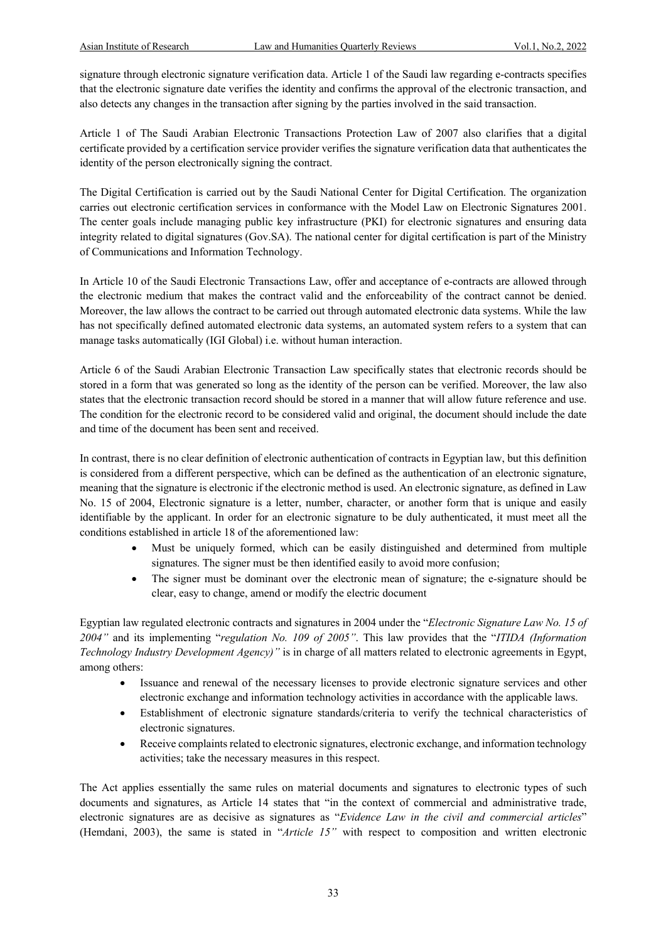signature through electronic signature verification data. Article 1 of the Saudi law regarding e-contracts specifies that the electronic signature date verifies the identity and confirms the approval of the electronic transaction, and also detects any changes in the transaction after signing by the parties involved in the said transaction.

Article 1 of The Saudi Arabian Electronic Transactions Protection Law of 2007 also clarifies that a digital certificate provided by a certification service provider verifies the signature verification data that authenticates the identity of the person electronically signing the contract.

The Digital Certification is carried out by the Saudi National Center for Digital Certification. The organization carries out electronic certification services in conformance with the Model Law on Electronic Signatures 2001. The center goals include managing public key infrastructure (PKI) for electronic signatures and ensuring data integrity related to digital signatures (Gov.SA). The national center for digital certification is part of the Ministry of Communications and Information Technology.

In Article 10 of the Saudi Electronic Transactions Law, offer and acceptance of e-contracts are allowed through the electronic medium that makes the contract valid and the enforceability of the contract cannot be denied. Moreover, the law allows the contract to be carried out through automated electronic data systems. While the law has not specifically defined automated electronic data systems, an automated system refers to a system that can manage tasks automatically (IGI Global) i.e. without human interaction.

Article 6 of the Saudi Arabian Electronic Transaction Law specifically states that electronic records should be stored in a form that was generated so long as the identity of the person can be verified. Moreover, the law also states that the electronic transaction record should be stored in a manner that will allow future reference and use. The condition for the electronic record to be considered valid and original, the document should include the date and time of the document has been sent and received.

In contrast, there is no clear definition of electronic authentication of contracts in Egyptian law, but this definition is considered from a different perspective, which can be defined as the authentication of an electronic signature, meaning that the signature is electronic if the electronic method is used. An electronic signature, as defined in Law No. 15 of 2004, Electronic signature is a letter, number, character, or another form that is unique and easily identifiable by the applicant. In order for an electronic signature to be duly authenticated, it must meet all the conditions established in article 18 of the aforementioned law:

- Must be uniquely formed, which can be easily distinguished and determined from multiple signatures. The signer must be then identified easily to avoid more confusion;
- The signer must be dominant over the electronic mean of signature; the e-signature should be clear, easy to change, amend or modify the electric document

Egyptian law regulated electronic contracts and signatures in 2004 under the "*Electronic Signature Law No. 15 of 2004"* and its implementing "*regulation No. 109 of 2005"*. This law provides that the "*ITIDA (Information Technology Industry Development Agency)"* is in charge of all matters related to electronic agreements in Egypt, among others:

- Issuance and renewal of the necessary licenses to provide electronic signature services and other electronic exchange and information technology activities in accordance with the applicable laws.
- Establishment of electronic signature standards/criteria to verify the technical characteristics of electronic signatures.
- Receive complaints related to electronic signatures, electronic exchange, and information technology activities; take the necessary measures in this respect.

The Act applies essentially the same rules on material documents and signatures to electronic types of such documents and signatures, as Article 14 states that "in the context of commercial and administrative trade, electronic signatures are as decisive as signatures as "*Evidence Law in the civil and commercial articles*" (Hemdani, 2003), the same is stated in "*Article 15"* with respect to composition and written electronic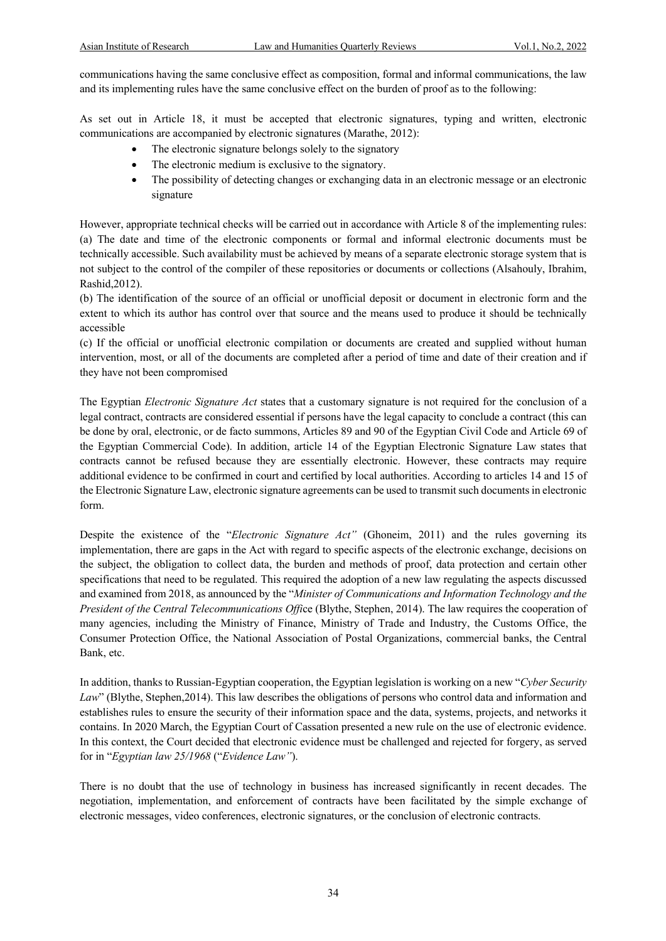communications having the same conclusive effect as composition, formal and informal communications, the law and its implementing rules have the same conclusive effect on the burden of proof as to the following:

As set out in Article 18, it must be accepted that electronic signatures, typing and written, electronic communications are accompanied by electronic signatures (Marathe, 2012):

- The electronic signature belongs solely to the signatory
- The electronic medium is exclusive to the signatory.
- The possibility of detecting changes or exchanging data in an electronic message or an electronic signature

However, appropriate technical checks will be carried out in accordance with Article 8 of the implementing rules: (a) The date and time of the electronic components or formal and informal electronic documents must be technically accessible. Such availability must be achieved by means of a separate electronic storage system that is not subject to the control of the compiler of these repositories or documents or collections (Alsahouly, Ibrahim, Rashid,2012).

(b) The identification of the source of an official or unofficial deposit or document in electronic form and the extent to which its author has control over that source and the means used to produce it should be technically accessible

(c) If the official or unofficial electronic compilation or documents are created and supplied without human intervention, most, or all of the documents are completed after a period of time and date of their creation and if they have not been compromised

The Egyptian *Electronic Signature Act* states that a customary signature is not required for the conclusion of a legal contract, contracts are considered essential if persons have the legal capacity to conclude a contract (this can be done by oral, electronic, or de facto summons, Articles 89 and 90 of the Egyptian Civil Code and Article 69 of the Egyptian Commercial Code). In addition, article 14 of the Egyptian Electronic Signature Law states that contracts cannot be refused because they are essentially electronic. However, these contracts may require additional evidence to be confirmed in court and certified by local authorities. According to articles 14 and 15 of the Electronic Signature Law, electronic signature agreements can be used to transmit such documents in electronic form.

Despite the existence of the "*Electronic Signature Act"* (Ghoneim, 2011) and the rules governing its implementation, there are gaps in the Act with regard to specific aspects of the electronic exchange, decisions on the subject, the obligation to collect data, the burden and methods of proof, data protection and certain other specifications that need to be regulated. This required the adoption of a new law regulating the aspects discussed and examined from 2018, as announced by the "*Minister of Communications and Information Technology and the President of the Central Telecommunications Offi*ce (Blythe, Stephen, 2014). The law requires the cooperation of many agencies, including the Ministry of Finance, Ministry of Trade and Industry, the Customs Office, the Consumer Protection Office, the National Association of Postal Organizations, commercial banks, the Central Bank, etc.

In addition, thanks to Russian-Egyptian cooperation, the Egyptian legislation is working on a new "*Cyber Security Law*" (Blythe, Stephen,2014). This law describes the obligations of persons who control data and information and establishes rules to ensure the security of their information space and the data, systems, projects, and networks it contains. In 2020 March, the Egyptian Court of Cassation presented a new rule on the use of electronic evidence. In this context, the Court decided that electronic evidence must be challenged and rejected for forgery, as served for in "*Egyptian law 25/1968* ("*Evidence Law"*).

There is no doubt that the use of technology in business has increased significantly in recent decades. The negotiation, implementation, and enforcement of contracts have been facilitated by the simple exchange of electronic messages, video conferences, electronic signatures, or the conclusion of electronic contracts.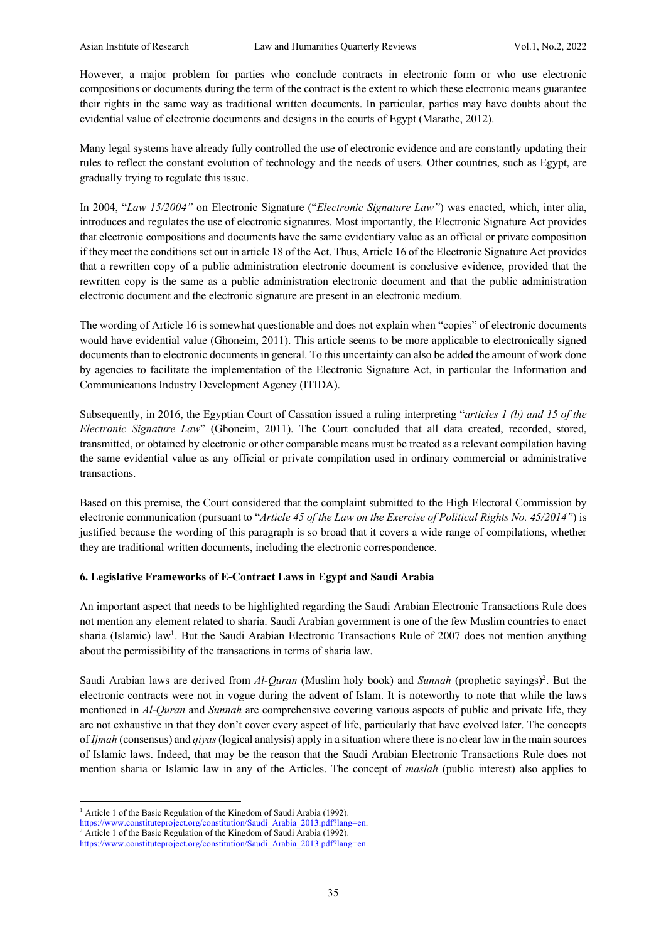However, a major problem for parties who conclude contracts in electronic form or who use electronic compositions or documents during the term of the contract is the extent to which these electronic means guarantee their rights in the same way as traditional written documents. In particular, parties may have doubts about the evidential value of electronic documents and designs in the courts of Egypt (Marathe, 2012).

Many legal systems have already fully controlled the use of electronic evidence and are constantly updating their rules to reflect the constant evolution of technology and the needs of users. Other countries, such as Egypt, are gradually trying to regulate this issue.

In 2004, "*Law 15/2004"* on Electronic Signature ("*Electronic Signature Law"*) was enacted, which, inter alia, introduces and regulates the use of electronic signatures. Most importantly, the Electronic Signature Act provides that electronic compositions and documents have the same evidentiary value as an official or private composition if they meet the conditions set out in article 18 of the Act. Thus, Article 16 of the Electronic Signature Act provides that a rewritten copy of a public administration electronic document is conclusive evidence, provided that the rewritten copy is the same as a public administration electronic document and that the public administration electronic document and the electronic signature are present in an electronic medium.

The wording of Article 16 is somewhat questionable and does not explain when "copies" of electronic documents would have evidential value (Ghoneim, 2011). This article seems to be more applicable to electronically signed documents than to electronic documents in general. To this uncertainty can also be added the amount of work done by agencies to facilitate the implementation of the Electronic Signature Act, in particular the Information and Communications Industry Development Agency (ITIDA).

Subsequently, in 2016, the Egyptian Court of Cassation issued a ruling interpreting "*articles 1 (b) and 15 of the Electronic Signature Law*" (Ghoneim, 2011). The Court concluded that all data created, recorded, stored, transmitted, or obtained by electronic or other comparable means must be treated as a relevant compilation having the same evidential value as any official or private compilation used in ordinary commercial or administrative transactions.

Based on this premise, the Court considered that the complaint submitted to the High Electoral Commission by electronic communication (pursuant to "*Article 45 of the Law on the Exercise of Political Rights No. 45/2014"*) is justified because the wording of this paragraph is so broad that it covers a wide range of compilations, whether they are traditional written documents, including the electronic correspondence.

#### **6. Legislative Frameworks of E-Contract Laws in Egypt and Saudi Arabia**

An important aspect that needs to be highlighted regarding the Saudi Arabian Electronic Transactions Rule does not mention any element related to sharia. Saudi Arabian government is one of the few Muslim countries to enact sharia (Islamic) law<sup>1</sup>. But the Saudi Arabian Electronic Transactions Rule of 2007 does not mention anything about the permissibility of the transactions in terms of sharia law.

Saudi Arabian laws are derived from *Al-Quran* (Muslim holy book) and *Sunnah* (prophetic sayings)<sup>2</sup>. But the electronic contracts were not in vogue during the advent of Islam. It is noteworthy to note that while the laws mentioned in *Al-Quran* and *Sunnah* are comprehensive covering various aspects of public and private life, they are not exhaustive in that they don't cover every aspect of life, particularly that have evolved later. The concepts of *Ijmah* (consensus) and *qiyas*(logical analysis) apply in a situation where there is no clear law in the main sources of Islamic laws. Indeed, that may be the reason that the Saudi Arabian Electronic Transactions Rule does not mention sharia or Islamic law in any of the Articles. The concept of *maslah* (public interest) also applies to

<sup>&</sup>lt;sup>1</sup> Article 1 of the Basic Regulation of the Kingdom of Saudi Arabia (1992).

https://www.constituteproject.org/constitution/Saudi\_Arabia\_2013.pdf?lang=en. <sup>2</sup> Article 1 of the Basic Regulation of the Kingdom of Saudi Arabia (1992).

https://www.constituteproject.org/constitution/Saudi\_Arabia\_2013.pdf?lang=en.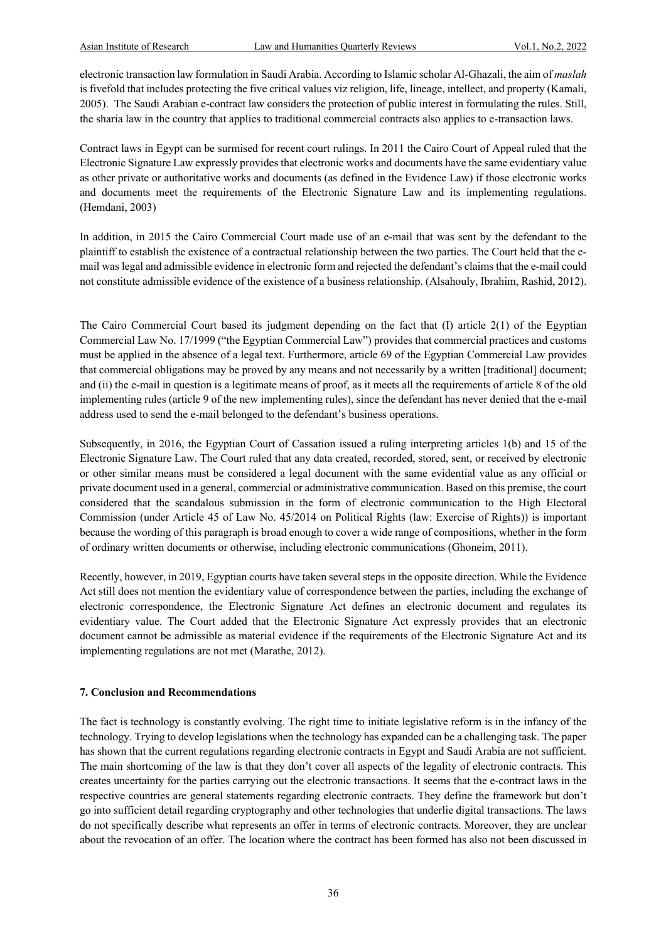electronic transaction law formulation in Saudi Arabia. According to Islamic scholar Al-Ghazali, the aim of *maslah*  is fivefold that includes protecting the five critical values viz religion, life, lineage, intellect, and property (Kamali, 2005). The Saudi Arabian e-contract law considers the protection of public interest in formulating the rules. Still, the sharia law in the country that applies to traditional commercial contracts also applies to e-transaction laws.

Contract laws in Egypt can be surmised for recent court rulings. In 2011 the Cairo Court of Appeal ruled that the Electronic Signature Law expressly provides that electronic works and documents have the same evidentiary value as other private or authoritative works and documents (as defined in the Evidence Law) if those electronic works and documents meet the requirements of the Electronic Signature Law and its implementing regulations. (Hemdani, 2003)

In addition, in 2015 the Cairo Commercial Court made use of an e-mail that was sent by the defendant to the plaintiff to establish the existence of a contractual relationship between the two parties. The Court held that the email was legal and admissible evidence in electronic form and rejected the defendant's claims that the e-mail could not constitute admissible evidence of the existence of a business relationship. (Alsahouly, Ibrahim, Rashid, 2012).

The Cairo Commercial Court based its judgment depending on the fact that (I) article 2(1) of the Egyptian Commercial Law No. 17/1999 ("the Egyptian Commercial Law") provides that commercial practices and customs must be applied in the absence of a legal text. Furthermore, article 69 of the Egyptian Commercial Law provides that commercial obligations may be proved by any means and not necessarily by a written [traditional] document; and (ii) the e-mail in question is a legitimate means of proof, as it meets all the requirements of article 8 of the old implementing rules (article 9 of the new implementing rules), since the defendant has never denied that the e-mail address used to send the e-mail belonged to the defendant's business operations.

Subsequently, in 2016, the Egyptian Court of Cassation issued a ruling interpreting articles 1(b) and 15 of the Electronic Signature Law. The Court ruled that any data created, recorded, stored, sent, or received by electronic or other similar means must be considered a legal document with the same evidential value as any official or private document used in a general, commercial or administrative communication. Based on this premise, the court considered that the scandalous submission in the form of electronic communication to the High Electoral Commission (under Article 45 of Law No. 45/2014 on Political Rights (law: Exercise of Rights)) is important because the wording of this paragraph is broad enough to cover a wide range of compositions, whether in the form of ordinary written documents or otherwise, including electronic communications (Ghoneim, 2011).

Recently, however, in 2019, Egyptian courts have taken several steps in the opposite direction. While the Evidence Act still does not mention the evidentiary value of correspondence between the parties, including the exchange of electronic correspondence, the Electronic Signature Act defines an electronic document and regulates its evidentiary value. The Court added that the Electronic Signature Act expressly provides that an electronic document cannot be admissible as material evidence if the requirements of the Electronic Signature Act and its implementing regulations are not met (Marathe, 2012).

#### **7. Conclusion and Recommendations**

The fact is technology is constantly evolving. The right time to initiate legislative reform is in the infancy of the technology. Trying to develop legislations when the technology has expanded can be a challenging task. The paper has shown that the current regulations regarding electronic contracts in Egypt and Saudi Arabia are not sufficient. The main shortcoming of the law is that they don't cover all aspects of the legality of electronic contracts. This creates uncertainty for the parties carrying out the electronic transactions. It seems that the e-contract laws in the respective countries are general statements regarding electronic contracts. They define the framework but don't go into sufficient detail regarding cryptography and other technologies that underlie digital transactions. The laws do not specifically describe what represents an offer in terms of electronic contracts. Moreover, they are unclear about the revocation of an offer. The location where the contract has been formed has also not been discussed in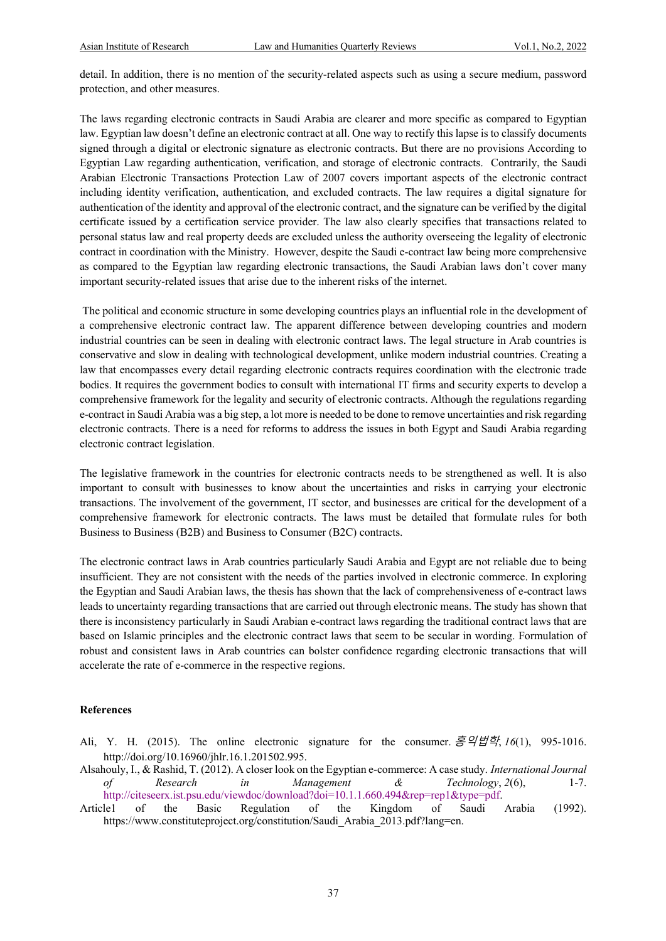detail. In addition, there is no mention of the security-related aspects such as using a secure medium, password protection, and other measures.

The laws regarding electronic contracts in Saudi Arabia are clearer and more specific as compared to Egyptian law. Egyptian law doesn't define an electronic contract at all. One way to rectify this lapse is to classify documents signed through a digital or electronic signature as electronic contracts. But there are no provisions According to Egyptian Law regarding authentication, verification, and storage of electronic contracts. Contrarily, the Saudi Arabian Electronic Transactions Protection Law of 2007 covers important aspects of the electronic contract including identity verification, authentication, and excluded contracts. The law requires a digital signature for authentication of the identity and approval of the electronic contract, and the signature can be verified by the digital certificate issued by a certification service provider. The law also clearly specifies that transactions related to personal status law and real property deeds are excluded unless the authority overseeing the legality of electronic contract in coordination with the Ministry. However, despite the Saudi e-contract law being more comprehensive as compared to the Egyptian law regarding electronic transactions, the Saudi Arabian laws don't cover many important security-related issues that arise due to the inherent risks of the internet.

The political and economic structure in some developing countries plays an influential role in the development of a comprehensive electronic contract law. The apparent difference between developing countries and modern industrial countries can be seen in dealing with electronic contract laws. The legal structure in Arab countries is conservative and slow in dealing with technological development, unlike modern industrial countries. Creating a law that encompasses every detail regarding electronic contracts requires coordination with the electronic trade bodies. It requires the government bodies to consult with international IT firms and security experts to develop a comprehensive framework for the legality and security of electronic contracts. Although the regulations regarding e-contract in Saudi Arabia was a big step, a lot more is needed to be done to remove uncertainties and risk regarding electronic contracts. There is a need for reforms to address the issues in both Egypt and Saudi Arabia regarding electronic contract legislation.

The legislative framework in the countries for electronic contracts needs to be strengthened as well. It is also important to consult with businesses to know about the uncertainties and risks in carrying your electronic transactions. The involvement of the government, IT sector, and businesses are critical for the development of a comprehensive framework for electronic contracts. The laws must be detailed that formulate rules for both Business to Business (B2B) and Business to Consumer (B2C) contracts.

The electronic contract laws in Arab countries particularly Saudi Arabia and Egypt are not reliable due to being insufficient. They are not consistent with the needs of the parties involved in electronic commerce. In exploring the Egyptian and Saudi Arabian laws, the thesis has shown that the lack of comprehensiveness of e-contract laws leads to uncertainty regarding transactions that are carried out through electronic means. The study has shown that there is inconsistency particularly in Saudi Arabian e-contract laws regarding the traditional contract laws that are based on Islamic principles and the electronic contract laws that seem to be secular in wording. Formulation of robust and consistent laws in Arab countries can bolster confidence regarding electronic transactions that will accelerate the rate of e-commerce in the respective regions.

#### **References**

- Ali, Y. H. (2015). The online electronic signature for the consumer. 홍익법학, *16*(1), 995-1016. http://doi.org/10.16960/jhlr.16.1.201502.995.
- Alsahouly, I., & Rashid, T. (2012). A closer look on the Egyptian e-commerce: A case study. *International Journal of Research in Management & Technology*, *2*(6), 1-7. http://citeseerx.ist.psu.edu/viewdoc/download?doi=10.1.1.660.494&rep=rep1&type=pdf.
- Article1 of the Basic Regulation of the Kingdom of Saudi Arabia (1992). https://www.constituteproject.org/constitution/Saudi\_Arabia\_2013.pdf?lang=en.